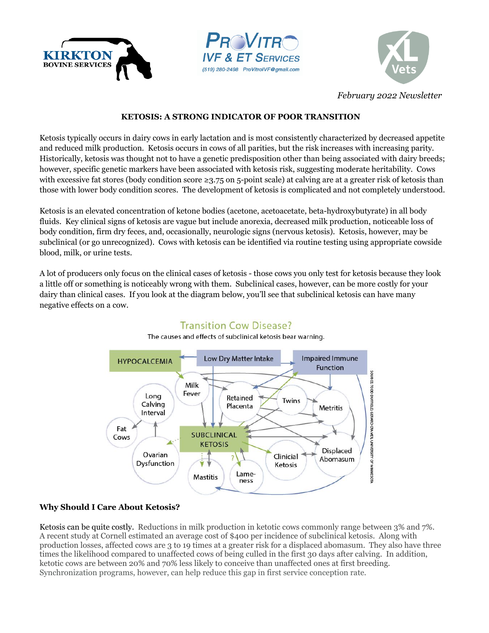





*February 2022 Newsletter*

### **KETOSIS: A STRONG INDICATOR OF POOR TRANSITION**

Ketosis typically occurs in dairy cows in early lactation and is most consistently characterized by decreased appetite and reduced milk production. Ketosis occurs in cows of all parities, but the risk increases with increasing parity. Historically, ketosis was thought not to have a genetic predisposition other than being associated with dairy breeds; however, specific genetic markers have been associated with ketosis risk, suggesting moderate heritability. Cows with excessive fat stores (body condition score  $\geq 3.75$  on 5-point scale) at calving are at a greater risk of ketosis than those with lower body condition scores. The development of ketosis is complicated and not completely understood.

Ketosis is an elevated concentration of ketone bodies (acetone, acetoacetate, beta-hydroxybutyrate) in all body fluids. Key clinical signs of ketosis are vague but include anorexia, decreased milk production, noticeable loss of body condition, firm dry feces, and, occasionally, neurologic signs (nervous ketosis). Ketosis, however, may be subclinical (or go unrecognized). Cows with ketosis can be identified via routine testing using appropriate cowside blood, milk, or urine tests.

A lot of producers only focus on the clinical cases of ketosis - those cows you only test for ketosis because they look a little off or something is noticeably wrong with them. Subclinical cases, however, can be more costly for your dairy than clinical cases. If you look at the diagram below, you'll see that subclinical ketosis can have many negative effects on a cow.



# **Transition Cow Disease?**

The causes and effects of subclinical ketosis bear warning.

## **Why Should I Care About Ketosis?**

Ketosis can be quite costly. Reductions in milk production in ketotic cows commonly range between 3% and 7%. A recent study at Cornell estimated an average cost of \$400 per incidence of subclinical ketosis. Along with production losses, affected cows are 3 to 19 times at a greater risk for a displaced abomasum. They also have three times the likelihood compared to unaffected cows of being culled in the first 30 days after calving. In addition, ketotic cows are between 20% and 70% less likely to conceive than unaffected ones at first breeding. Synchronization programs, however, can help reduce this gap in first service conception rate.